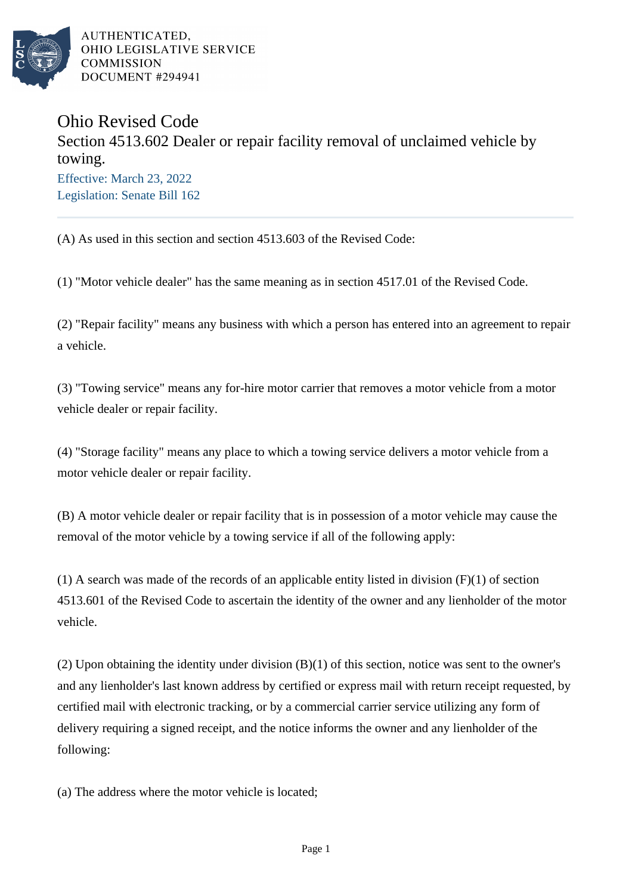

AUTHENTICATED. OHIO LEGISLATIVE SERVICE **COMMISSION** DOCUMENT #294941

## Ohio Revised Code Section 4513.602 Dealer or repair facility removal of unclaimed vehicle by towing. Effective: March 23, 2022 Legislation: Senate Bill 162

(A) As used in this section and section 4513.603 of the Revised Code:

(1) "Motor vehicle dealer" has the same meaning as in section 4517.01 of the Revised Code.

(2) "Repair facility" means any business with which a person has entered into an agreement to repair a vehicle.

(3) "Towing service" means any for-hire motor carrier that removes a motor vehicle from a motor vehicle dealer or repair facility.

(4) "Storage facility" means any place to which a towing service delivers a motor vehicle from a motor vehicle dealer or repair facility.

(B) A motor vehicle dealer or repair facility that is in possession of a motor vehicle may cause the removal of the motor vehicle by a towing service if all of the following apply:

(1) A search was made of the records of an applicable entity listed in division (F)(1) of section 4513.601 of the Revised Code to ascertain the identity of the owner and any lienholder of the motor vehicle.

(2) Upon obtaining the identity under division (B)(1) of this section, notice was sent to the owner's and any lienholder's last known address by certified or express mail with return receipt requested, by certified mail with electronic tracking, or by a commercial carrier service utilizing any form of delivery requiring a signed receipt, and the notice informs the owner and any lienholder of the following:

(a) The address where the motor vehicle is located;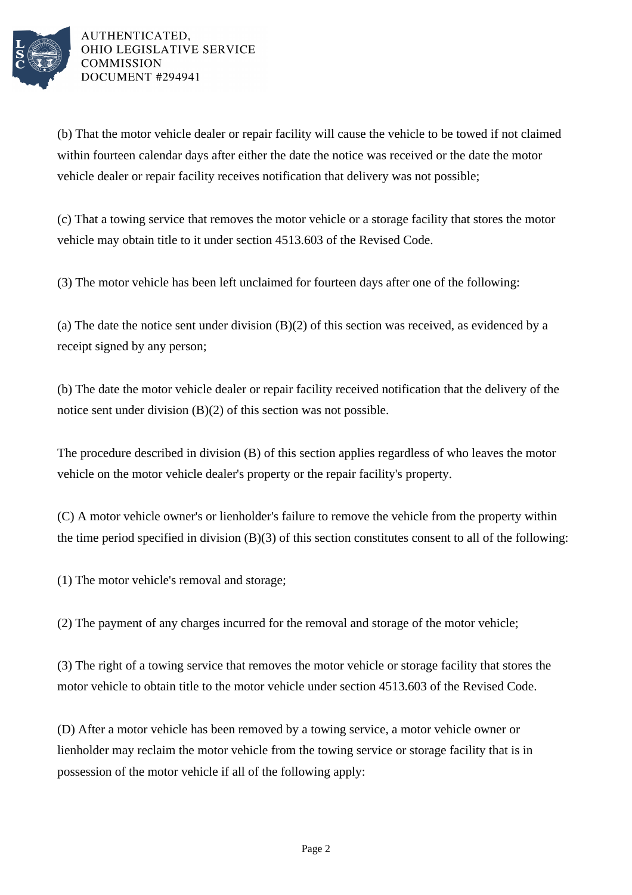

AUTHENTICATED. OHIO LEGISLATIVE SERVICE **COMMISSION** DOCUMENT #294941

(b) That the motor vehicle dealer or repair facility will cause the vehicle to be towed if not claimed within fourteen calendar days after either the date the notice was received or the date the motor vehicle dealer or repair facility receives notification that delivery was not possible;

(c) That a towing service that removes the motor vehicle or a storage facility that stores the motor vehicle may obtain title to it under section 4513.603 of the Revised Code.

(3) The motor vehicle has been left unclaimed for fourteen days after one of the following:

(a) The date the notice sent under division (B)(2) of this section was received, as evidenced by a receipt signed by any person;

(b) The date the motor vehicle dealer or repair facility received notification that the delivery of the notice sent under division (B)(2) of this section was not possible.

The procedure described in division (B) of this section applies regardless of who leaves the motor vehicle on the motor vehicle dealer's property or the repair facility's property.

(C) A motor vehicle owner's or lienholder's failure to remove the vehicle from the property within the time period specified in division (B)(3) of this section constitutes consent to all of the following:

(1) The motor vehicle's removal and storage;

(2) The payment of any charges incurred for the removal and storage of the motor vehicle;

(3) The right of a towing service that removes the motor vehicle or storage facility that stores the motor vehicle to obtain title to the motor vehicle under section 4513.603 of the Revised Code.

(D) After a motor vehicle has been removed by a towing service, a motor vehicle owner or lienholder may reclaim the motor vehicle from the towing service or storage facility that is in possession of the motor vehicle if all of the following apply: